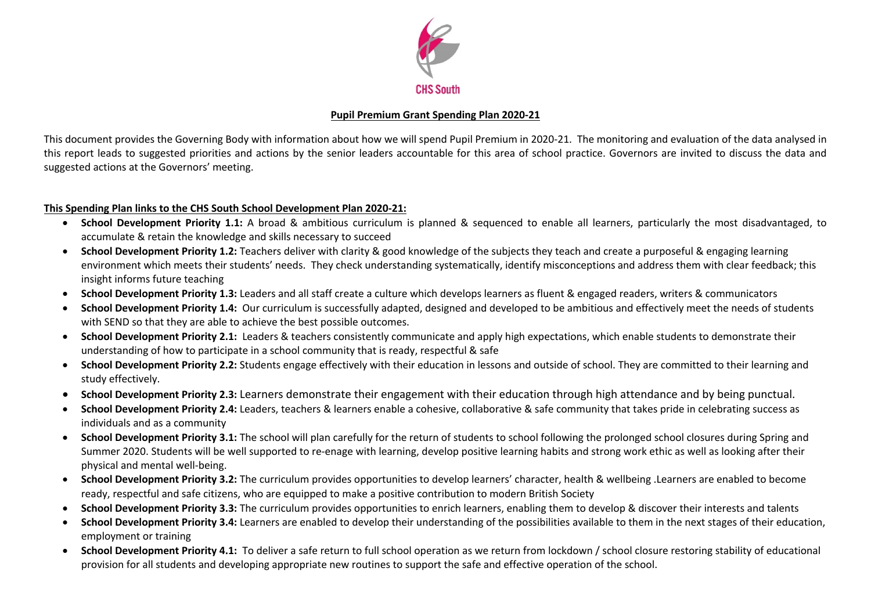

# **Pupil Premium Grant Spending Plan 2020-21**

This document provides the Governing Body with information about how we will spend Pupil Premium in 2020-21. The monitoring and evaluation of the data analysed in this report leads to suggested priorities and actions by the senior leaders accountable for this area of school practice. Governors are invited to discuss the data and suggested actions at the Governors' meeting.

# **This Spending Plan links to the CHS South School Development Plan 2020-21:**

- **School Development Priority 1.1:** A broad & ambitious curriculum is planned & sequenced to enable all learners, particularly the most disadvantaged, to accumulate & retain the knowledge and skills necessary to succeed
- **School Development Priority 1.2:** Teachers deliver with clarity & good knowledge of the subjects they teach and create a purposeful & engaging learning environment which meets their students' needs. They check understanding systematically, identify misconceptions and address them with clear feedback; this insight informs future teaching
- **School Development Priority 1.3:** Leaders and all staff create a culture which develops learners as fluent & engaged readers, writers & communicators
- **School Development Priority 1.4:** Our curriculum is successfully adapted, designed and developed to be ambitious and effectively meet the needs of students with SEND so that they are able to achieve the best possible outcomes.
- **School Development Priority 2.1:** Leaders & teachers consistently communicate and apply high expectations, which enable students to demonstrate their understanding of how to participate in a school community that is ready, respectful & safe
- **School Development Priority 2.2:** Students engage effectively with their education in lessons and outside of school. They are committed to their learning and study effectively.
- **School Development Priority 2.3:** Learners demonstrate their engagement with their education through high attendance and by being punctual.
- **School Development Priority 2.4:** Leaders, teachers & learners enable a cohesive, collaborative & safe community that takes pride in celebrating success as individuals and as a community
- **School Development Priority 3.1:** The school will plan carefully for the return of students to school following the prolonged school closures during Spring and Summer 2020. Students will be well supported to re-enage with learning, develop positive learning habits and strong work ethic as well as looking after their physical and mental well-being.
- **School Development Priority 3.2:** The curriculum provides opportunities to develop learners' character, health & wellbeing .Learners are enabled to become ready, respectful and safe citizens, who are equipped to make a positive contribution to modern British Society
- **School Development Priority 3.3:** The curriculum provides opportunities to enrich learners, enabling them to develop & discover their interests and talents
- **School Development Priority 3.4:** Learners are enabled to develop their understanding of the possibilities available to them in the next stages of their education, employment or training
- **School Development Priority 4.1:** To deliver a safe return to full school operation as we return from lockdown / school closure restoring stability of educational provision for all students and developing appropriate new routines to support the safe and effective operation of the school.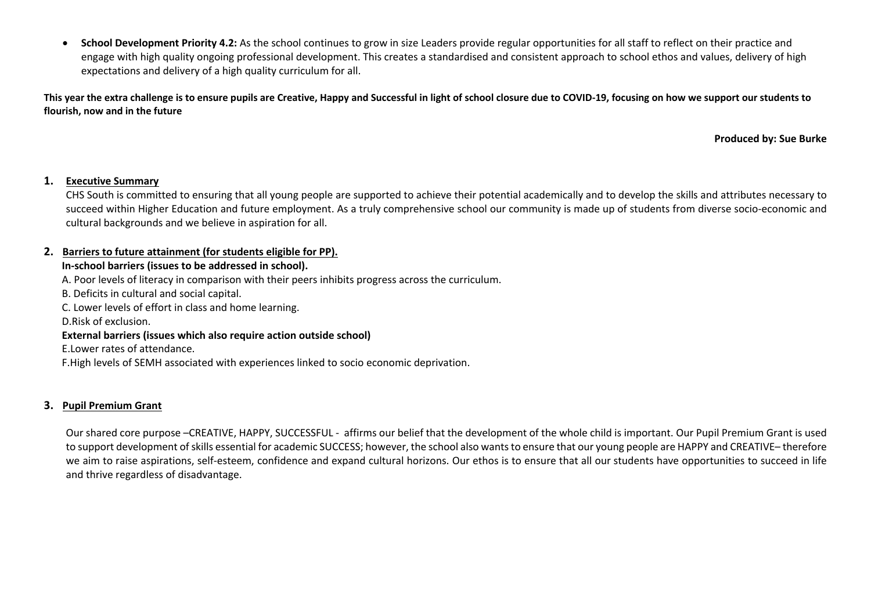• **School Development Priority 4.2:** As the school continues to grow in size Leaders provide regular opportunities for all staff to reflect on their practice and engage with high quality ongoing professional development. This creates a standardised and consistent approach to school ethos and values, delivery of high expectations and delivery of a high quality curriculum for all.

**This year the extra challenge is to ensure pupils are Creative, Happy and Successful in light of school closure due to COVID-19, focusing on how we support our students to flourish, now and in the future** 

**Produced by: Sue Burke**

### **1. Executive Summary**

CHS South is committed to ensuring that all young people are supported to achieve their potential academically and to develop the skills and attributes necessary to succeed within Higher Education and future employment. As a truly comprehensive school our community is made up of students from diverse socio-economic and cultural backgrounds and we believe in aspiration for all.

# **2. Barriers to future attainment (for students eligible for PP).**

### **In-school barriers (issues to be addressed in school).**

A. Poor levels of literacy in comparison with their peers inhibits progress across the curriculum.

B. Deficits in cultural and social capital.

C. Lower levels of effort in class and home learning.

D.Risk of exclusion.

#### **External barriers (issues which also require action outside school)**

E.Lower rates of attendance.

F.High levels of SEMH associated with experiences linked to socio economic deprivation.

### **3. Pupil Premium Grant**

Our shared core purpose –CREATIVE, HAPPY, SUCCESSFUL - affirms our belief that the development of the whole child is important. Our Pupil Premium Grant is used to support development ofskills essential for academic SUCCESS; however, the school also wants to ensure that our young people are HAPPY and CREATIVE– therefore we aim to raise aspirations, self-esteem, confidence and expand cultural horizons. Our ethos is to ensure that all our students have opportunities to succeed in life and thrive regardless of disadvantage.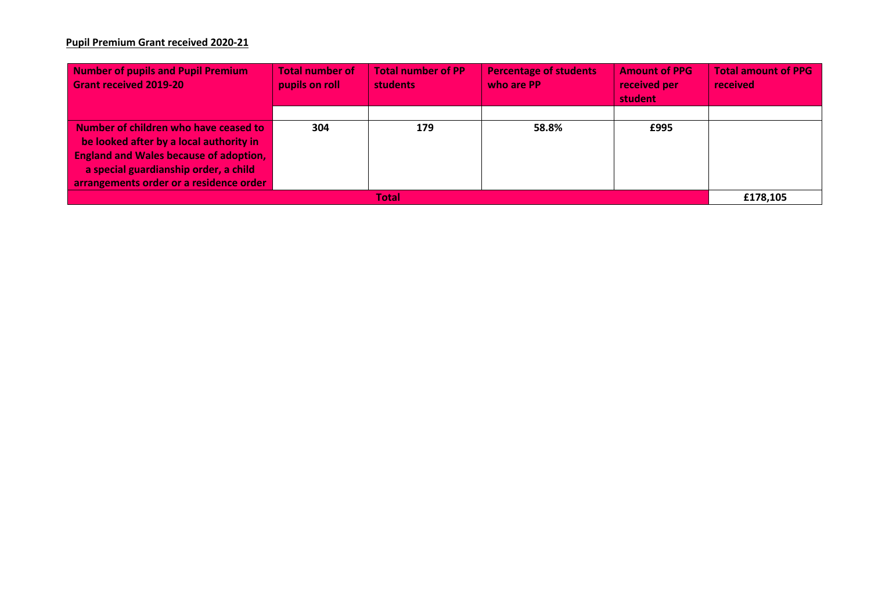# **Pupil Premium Grant received 2020-21**

| Number of pupils and Pupil Premium<br><b>Grant received 2019-20</b>                                                                                                                                                           | <b>Total number of</b><br>pupils on roll | <b>Total number of PP</b><br><b>students</b> | <b>Percentage of students</b><br>who are PP | <b>Amount of PPG</b><br>received per<br>student | <b>Total amount of PPG</b><br>received |  |
|-------------------------------------------------------------------------------------------------------------------------------------------------------------------------------------------------------------------------------|------------------------------------------|----------------------------------------------|---------------------------------------------|-------------------------------------------------|----------------------------------------|--|
|                                                                                                                                                                                                                               |                                          |                                              |                                             |                                                 |                                        |  |
| Number of children who have ceased to<br>$\vert$ be looked after by a local authority in<br><b>England and Wales because of adoption,</b><br>a special guardianship order, a child<br>arrangements order or a residence order | 304                                      | 179                                          | 58.8%                                       | £995                                            |                                        |  |
| Total                                                                                                                                                                                                                         |                                          |                                              |                                             |                                                 |                                        |  |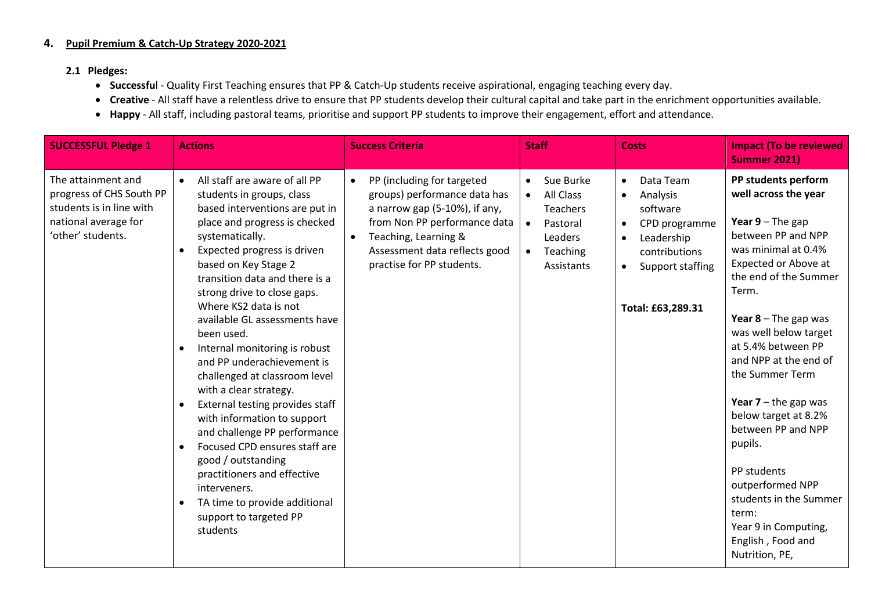# **4. Pupil Premium & Catch-Up Strategy 2020-2021**

### **2.1 Pledges:**

- **Successfu**l Quality First Teaching ensures that PP & Catch-Up students receive aspirational, engaging teaching every day.
- **Creative** All staff have a relentless drive to ensure that PP students develop their cultural capital and take part in the enrichment opportunities available.
- **Happy**  All staff, including pastoral teams, prioritise and support PP students to improve their engagement, effort and attendance.

| <b>SUCCESSFUL Pledge 1</b>                                                                                              | <b>Actions</b>                                                                                                                                                                                                                                                                                                                                                                                                                                                                                                                                                                                                                                                                                                                                                                                                | <b>Success Criteria</b>                                                                                                                                                                                                                     | <b>Staff</b>                                                                                                                      | <b>Costs</b>                                                                                                                                                                                | <b>Impact (To be reviewed</b><br><b>Summer 2021)</b>                                                                                                                                                                                                                                                                                                                                                                                                                                                                  |
|-------------------------------------------------------------------------------------------------------------------------|---------------------------------------------------------------------------------------------------------------------------------------------------------------------------------------------------------------------------------------------------------------------------------------------------------------------------------------------------------------------------------------------------------------------------------------------------------------------------------------------------------------------------------------------------------------------------------------------------------------------------------------------------------------------------------------------------------------------------------------------------------------------------------------------------------------|---------------------------------------------------------------------------------------------------------------------------------------------------------------------------------------------------------------------------------------------|-----------------------------------------------------------------------------------------------------------------------------------|---------------------------------------------------------------------------------------------------------------------------------------------------------------------------------------------|-----------------------------------------------------------------------------------------------------------------------------------------------------------------------------------------------------------------------------------------------------------------------------------------------------------------------------------------------------------------------------------------------------------------------------------------------------------------------------------------------------------------------|
| The attainment and<br>progress of CHS South PP<br>students is in line with<br>national average for<br>'other' students. | All staff are aware of all PP<br>$\bullet$<br>students in groups, class<br>based interventions are put in<br>place and progress is checked<br>systematically.<br>Expected progress is driven<br>based on Key Stage 2<br>transition data and there is a<br>strong drive to close gaps.<br>Where KS2 data is not<br>available GL assessments have<br>been used.<br>Internal monitoring is robust<br>$\bullet$<br>and PP underachievement is<br>challenged at classroom level<br>with a clear strategy.<br>External testing provides staff<br>$\bullet$<br>with information to support<br>and challenge PP performance<br>Focused CPD ensures staff are<br>good / outstanding<br>practitioners and effective<br>interveners.<br>TA time to provide additional<br>$\bullet$<br>support to targeted PP<br>students | PP (including for targeted<br>$\bullet$<br>groups) performance data has<br>a narrow gap (5-10%), if any,<br>from Non PP performance data<br>Teaching, Learning &<br>$\bullet$<br>Assessment data reflects good<br>practise for PP students. | Sue Burke<br>$\bullet$<br>All Class<br>$\bullet$<br><b>Teachers</b><br>Pastoral<br>$\bullet$<br>Leaders<br>Teaching<br>Assistants | Data Team<br>$\bullet$<br>Analysis<br>$\bullet$<br>software<br>CPD programme<br>$\bullet$<br>Leadership<br>$\bullet$<br>contributions<br>Support staffing<br>$\bullet$<br>Total: £63,289.31 | PP students perform<br>well across the year<br>Year $9$ – The gap<br>between PP and NPP<br>was minimal at 0.4%<br>Expected or Above at<br>the end of the Summer<br>Term.<br>Year $8$ – The gap was<br>was well below target<br>at 5.4% between PP<br>and NPP at the end of<br>the Summer Term<br>Year $7$ – the gap was<br>below target at 8.2%<br>between PP and NPP<br>pupils.<br>PP students<br>outperformed NPP<br>students in the Summer<br>term:<br>Year 9 in Computing,<br>English, Food and<br>Nutrition, PE, |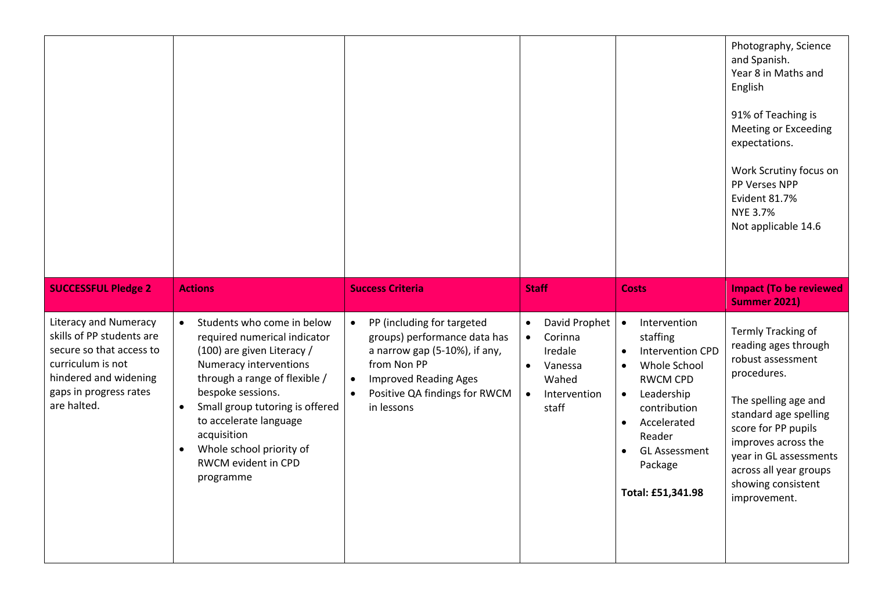|                                                                                                                                                                              |                                                                                                                                                                                                                                                                                                                                                             |                                                                                                                                                                                                                                  |                                                                                                                                      |                                                                                                                                                                                                                                                                                     | Photography, Science<br>and Spanish.<br>Year 8 in Maths and<br>English<br>91% of Teaching is<br><b>Meeting or Exceeding</b><br>expectations.<br>Work Scrutiny focus on<br>PP Verses NPP<br>Evident 81.7%<br>NYE 3.7%<br>Not applicable 14.6                             |
|------------------------------------------------------------------------------------------------------------------------------------------------------------------------------|-------------------------------------------------------------------------------------------------------------------------------------------------------------------------------------------------------------------------------------------------------------------------------------------------------------------------------------------------------------|----------------------------------------------------------------------------------------------------------------------------------------------------------------------------------------------------------------------------------|--------------------------------------------------------------------------------------------------------------------------------------|-------------------------------------------------------------------------------------------------------------------------------------------------------------------------------------------------------------------------------------------------------------------------------------|-------------------------------------------------------------------------------------------------------------------------------------------------------------------------------------------------------------------------------------------------------------------------|
| <b>SUCCESSFUL Pledge 2</b>                                                                                                                                                   | <b>Actions</b>                                                                                                                                                                                                                                                                                                                                              | <b>Success Criteria</b>                                                                                                                                                                                                          | <b>Staff</b>                                                                                                                         | <b>Costs</b>                                                                                                                                                                                                                                                                        | <b>Impact (To be reviewed</b><br><b>Summer 2021)</b>                                                                                                                                                                                                                    |
| <b>Literacy and Numeracy</b><br>skills of PP students are<br>secure so that access to<br>curriculum is not<br>hindered and widening<br>gaps in progress rates<br>are halted. | Students who come in below<br>$\bullet$<br>required numerical indicator<br>(100) are given Literacy /<br>Numeracy interventions<br>through a range of flexible /<br>bespoke sessions.<br>Small group tutoring is offered<br>$\bullet$<br>to accelerate language<br>acquisition<br>Whole school priority of<br>$\bullet$<br>RWCM evident in CPD<br>programme | PP (including for targeted<br>$\bullet$<br>groups) performance data has<br>a narrow gap (5-10%), if any,<br>from Non PP<br><b>Improved Reading Ages</b><br>$\bullet$<br>Positive QA findings for RWCM<br>$\bullet$<br>in lessons | David Prophet<br>$\bullet$<br>Corinna<br>$\bullet$<br>Iredale<br>Vanessa<br>$\bullet$<br>Wahed<br>Intervention<br>$\bullet$<br>staff | Intervention<br>$\bullet$<br>staffing<br><b>Intervention CPD</b><br>$\bullet$<br>Whole School<br>$\bullet$<br><b>RWCM CPD</b><br>Leadership<br>$\bullet$<br>contribution<br>Accelerated<br>$\bullet$<br>Reader<br><b>GL Assessment</b><br>$\bullet$<br>Package<br>Total: £51,341.98 | Termly Tracking of<br>reading ages through<br>robust assessment<br>procedures.<br>The spelling age and<br>standard age spelling<br>score for PP pupils<br>improves across the<br>year in GL assessments<br>across all year groups<br>showing consistent<br>improvement. |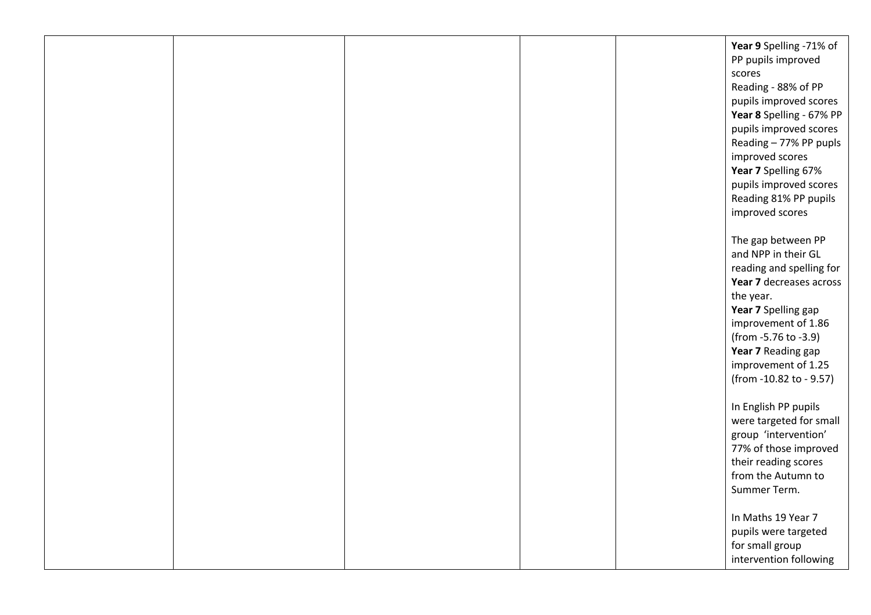|  |  | Year 9 Spelling -71% of<br>PP pupils improved<br>scores<br>Reading - 88% of PP<br>pupils improved scores<br>Year 8 Spelling - 67% PP<br>pupils improved scores<br>Reading - 77% PP pupls<br>improved scores<br>Year 7 Spelling 67%<br>pupils improved scores<br>Reading 81% PP pupils<br>improved scores |
|--|--|----------------------------------------------------------------------------------------------------------------------------------------------------------------------------------------------------------------------------------------------------------------------------------------------------------|
|  |  | The gap between PP<br>and NPP in their GL<br>reading and spelling for<br>Year 7 decreases across<br>the year.<br>Year 7 Spelling gap<br>improvement of 1.86<br>(from -5.76 to -3.9)<br>Year 7 Reading gap<br>improvement of 1.25<br>(from -10.82 to - 9.57)                                              |
|  |  | In English PP pupils<br>were targeted for small<br>group 'intervention'<br>77% of those improved<br>their reading scores<br>from the Autumn to<br>Summer Term.<br>In Maths 19 Year 7<br>pupils were targeted<br>for small group<br>intervention following                                                |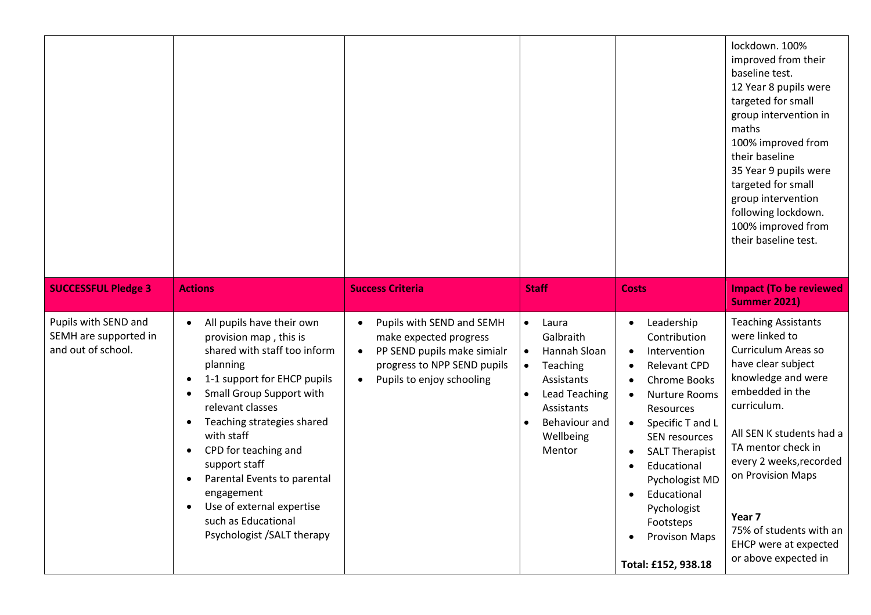|                                                                     |                                                                                                                                                                                                                                                                                                                                                                                                                                                                                   |                                                                                                                                                                                       |                                                                                                                                                                                   |                                                                                                                                                                                                                                                                                                                                                                                                            | lockdown. 100%<br>improved from their<br>baseline test.<br>12 Year 8 pupils were<br>targeted for small<br>group intervention in<br>maths<br>100% improved from<br>their baseline<br>35 Year 9 pupils were<br>targeted for small<br>group intervention<br>following lockdown.<br>100% improved from<br>their baseline test.                |
|---------------------------------------------------------------------|-----------------------------------------------------------------------------------------------------------------------------------------------------------------------------------------------------------------------------------------------------------------------------------------------------------------------------------------------------------------------------------------------------------------------------------------------------------------------------------|---------------------------------------------------------------------------------------------------------------------------------------------------------------------------------------|-----------------------------------------------------------------------------------------------------------------------------------------------------------------------------------|------------------------------------------------------------------------------------------------------------------------------------------------------------------------------------------------------------------------------------------------------------------------------------------------------------------------------------------------------------------------------------------------------------|-------------------------------------------------------------------------------------------------------------------------------------------------------------------------------------------------------------------------------------------------------------------------------------------------------------------------------------------|
| <b>SUCCESSFUL Pledge 3</b>                                          | <b>Actions</b>                                                                                                                                                                                                                                                                                                                                                                                                                                                                    | <b>Success Criteria</b>                                                                                                                                                               | <b>Staff</b>                                                                                                                                                                      | <b>Costs</b>                                                                                                                                                                                                                                                                                                                                                                                               | <b>Impact (To be reviewed</b><br><b>Summer 2021)</b>                                                                                                                                                                                                                                                                                      |
| Pupils with SEND and<br>SEMH are supported in<br>and out of school. | All pupils have their own<br>$\bullet$<br>provision map, this is<br>shared with staff too inform<br>planning<br>1-1 support for EHCP pupils<br>Small Group Support with<br>$\bullet$<br>relevant classes<br>Teaching strategies shared<br>$\bullet$<br>with staff<br>CPD for teaching and<br>$\bullet$<br>support staff<br>Parental Events to parental<br>$\bullet$<br>engagement<br>Use of external expertise<br>$\bullet$<br>such as Educational<br>Psychologist / SALT therapy | Pupils with SEND and SEMH<br>$\bullet$<br>make expected progress<br>PP SEND pupils make simialr<br>$\bullet$<br>progress to NPP SEND pupils<br>Pupils to enjoy schooling<br>$\bullet$ | Laura<br>$\bullet$<br>Galbraith<br>Hannah Sloan<br>$\bullet$<br>Teaching<br>$\bullet$<br>Assistants<br><b>Lead Teaching</b><br>Assistants<br>Behaviour and<br>Wellbeing<br>Mentor | Leadership<br>$\bullet$<br>Contribution<br>Intervention<br>$\bullet$<br><b>Relevant CPD</b><br>Chrome Books<br><b>Nurture Rooms</b><br>$\bullet$<br>Resources<br>Specific T and L<br>$\bullet$<br>SEN resources<br><b>SALT Therapist</b><br>$\bullet$<br>Educational<br>$\bullet$<br>Pychologist MD<br>Educational<br>$\bullet$<br>Pychologist<br>Footsteps<br><b>Provison Maps</b><br>Total: £152, 938.18 | <b>Teaching Assistants</b><br>were linked to<br>Curriculum Areas so<br>have clear subject<br>knowledge and were<br>embedded in the<br>curriculum.<br>All SEN K students had a<br>TA mentor check in<br>every 2 weeks, recorded<br>on Provision Maps<br>Year 7<br>75% of students with an<br>EHCP were at expected<br>or above expected in |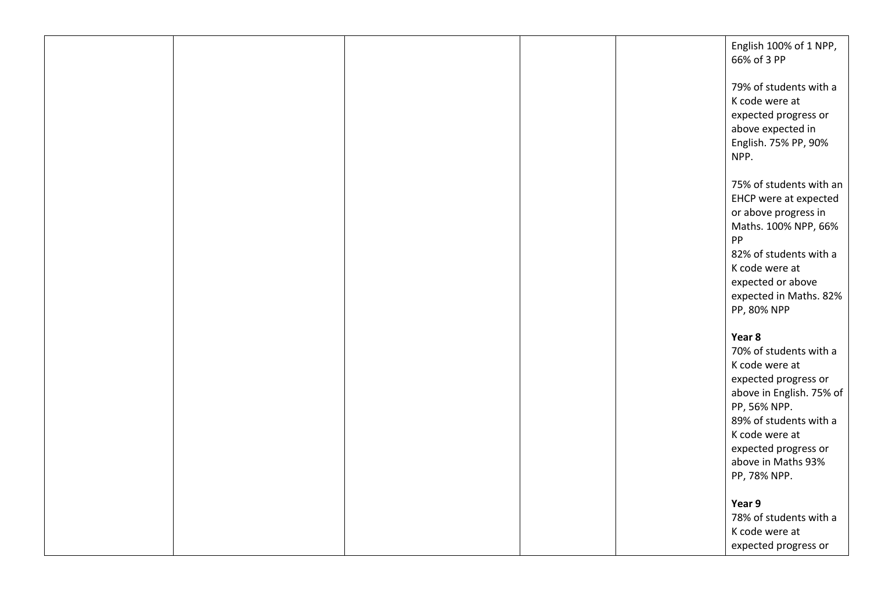|  |  | English 100% of 1 NPP,<br>66% of 3 PP                                                                                                            |
|--|--|--------------------------------------------------------------------------------------------------------------------------------------------------|
|  |  | 79% of students with a<br>K code were at<br>expected progress or<br>above expected in<br>English. 75% PP, 90%<br>NPP.                            |
|  |  | 75% of students with an<br>EHCP were at expected<br>or above progress in<br>Maths. 100% NPP, 66%<br>PP                                           |
|  |  | 82% of students with a<br>K code were at<br>expected or above<br>expected in Maths. 82%<br>PP, 80% NPP                                           |
|  |  | Year 8<br>70% of students with a<br>K code were at<br>expected progress or<br>above in English. 75% of<br>PP, 56% NPP.<br>89% of students with a |
|  |  | K code were at<br>expected progress or<br>above in Maths 93%<br>PP, 78% NPP.<br>Year 9                                                           |
|  |  | 78% of students with a<br>K code were at<br>expected progress or                                                                                 |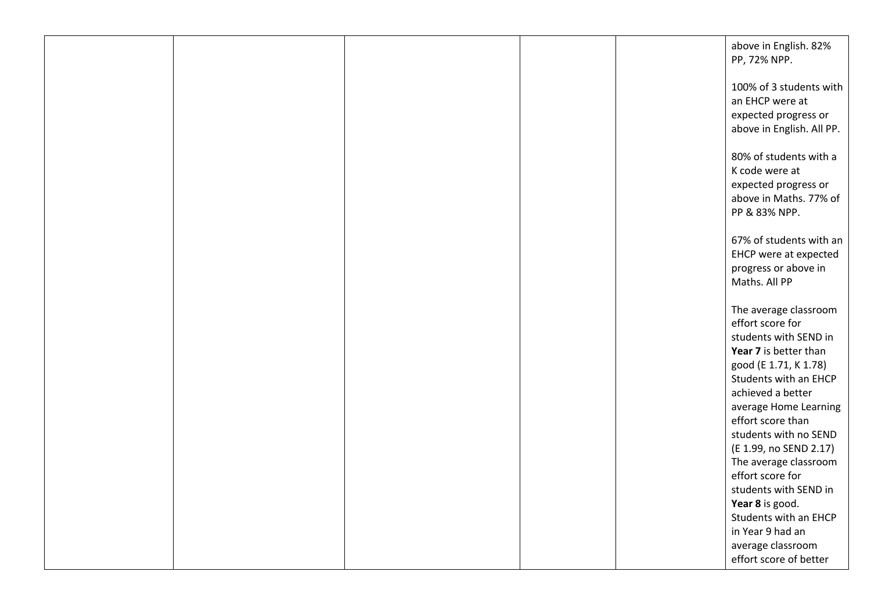|  |  | above in English. 82%<br>PP, 72% NPP.                                                                                                         |
|--|--|-----------------------------------------------------------------------------------------------------------------------------------------------|
|  |  | 100% of 3 students with<br>an EHCP were at<br>expected progress or<br>above in English. All PP.                                               |
|  |  | 80% of students with a<br>K code were at<br>expected progress or<br>above in Maths. 77% of<br>PP & 83% NPP.                                   |
|  |  | 67% of students with an<br>EHCP were at expected<br>progress or above in<br>Maths. All PP                                                     |
|  |  | The average classroom<br>effort score for<br>students with SEND in<br>Year 7 is better than<br>good (E 1.71, K 1.78)<br>Students with an EHCP |
|  |  | achieved a better<br>average Home Learning<br>effort score than<br>students with no SEND<br>(E 1.99, no SEND 2.17)                            |
|  |  | The average classroom<br>effort score for<br>students with SEND in<br>Year 8 is good.<br>Students with an EHCP<br>in Year 9 had an            |
|  |  | average classroom<br>effort score of better                                                                                                   |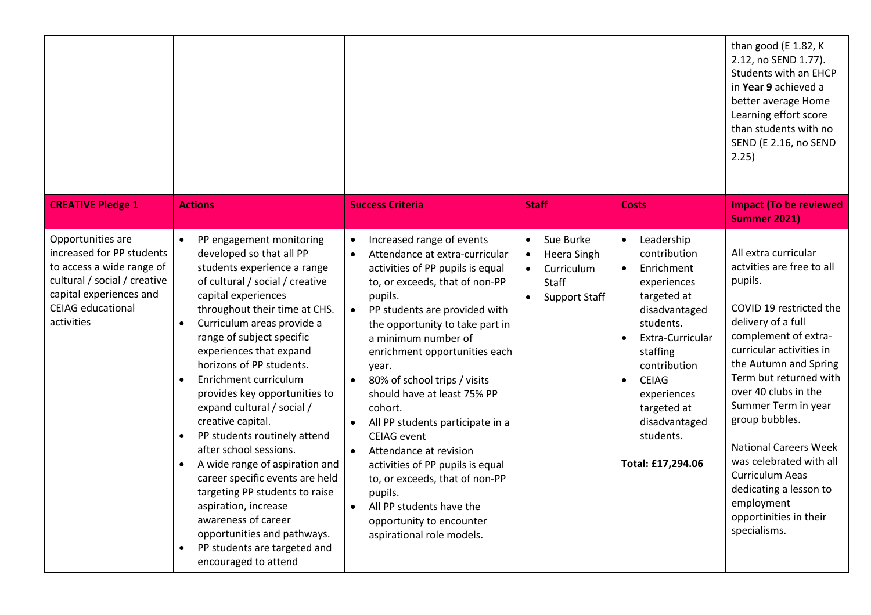| <b>CREATIVE Pledge 1</b>                                                                                                                                                         | <b>Actions</b>                                                                                                                                                                                                                                                                                                                                                                                                                                                                                                                                                                                                                                                                                                                                                                                     | <b>Success Criteria</b>                                                                                                                                                                                                                                                                                                                                                                                                                                                                                                                                                                                                                                                   | <b>Staff</b>                                                                                                                | <b>Costs</b>                                                                                                                                                                                                                                                                                 | than good (E 1.82, K<br>2.12, no SEND 1.77).<br>Students with an EHCP<br>in Year 9 achieved a<br>better average Home<br>Learning effort score<br>than students with no<br>SEND (E 2.16, no SEND<br>2.25)<br><b>Impact (To be reviewed</b>                                                                                                                                                                                                                                           |
|----------------------------------------------------------------------------------------------------------------------------------------------------------------------------------|----------------------------------------------------------------------------------------------------------------------------------------------------------------------------------------------------------------------------------------------------------------------------------------------------------------------------------------------------------------------------------------------------------------------------------------------------------------------------------------------------------------------------------------------------------------------------------------------------------------------------------------------------------------------------------------------------------------------------------------------------------------------------------------------------|---------------------------------------------------------------------------------------------------------------------------------------------------------------------------------------------------------------------------------------------------------------------------------------------------------------------------------------------------------------------------------------------------------------------------------------------------------------------------------------------------------------------------------------------------------------------------------------------------------------------------------------------------------------------------|-----------------------------------------------------------------------------------------------------------------------------|----------------------------------------------------------------------------------------------------------------------------------------------------------------------------------------------------------------------------------------------------------------------------------------------|-------------------------------------------------------------------------------------------------------------------------------------------------------------------------------------------------------------------------------------------------------------------------------------------------------------------------------------------------------------------------------------------------------------------------------------------------------------------------------------|
| Opportunities are<br>increased for PP students<br>to access a wide range of<br>cultural / social / creative<br>capital experiences and<br><b>CEIAG</b> educational<br>activities | PP engagement monitoring<br>$\bullet$<br>developed so that all PP<br>students experience a range<br>of cultural / social / creative<br>capital experiences<br>throughout their time at CHS.<br>Curriculum areas provide a<br>$\bullet$<br>range of subject specific<br>experiences that expand<br>horizons of PP students.<br>Enrichment curriculum<br>$\bullet$<br>provides key opportunities to<br>expand cultural / social /<br>creative capital.<br>PP students routinely attend<br>$\bullet$<br>after school sessions.<br>A wide range of aspiration and<br>$\bullet$<br>career specific events are held<br>targeting PP students to raise<br>aspiration, increase<br>awareness of career<br>opportunities and pathways.<br>PP students are targeted and<br>$\bullet$<br>encouraged to attend | Increased range of events<br>$\bullet$<br>Attendance at extra-curricular<br>$\bullet$<br>activities of PP pupils is equal<br>to, or exceeds, that of non-PP<br>pupils.<br>PP students are provided with<br>the opportunity to take part in<br>a minimum number of<br>enrichment opportunities each<br>year.<br>80% of school trips / visits<br>should have at least 75% PP<br>cohort.<br>All PP students participate in a<br><b>CEIAG</b> event<br>Attendance at revision<br>$\bullet$<br>activities of PP pupils is equal<br>to, or exceeds, that of non-PP<br>pupils.<br>All PP students have the<br>$\bullet$<br>opportunity to encounter<br>aspirational role models. | Sue Burke<br>$\bullet$<br>Heera Singh<br>$\bullet$<br>Curriculum<br>$\bullet$<br>Staff<br><b>Support Staff</b><br>$\bullet$ | Leadership<br>$\bullet$<br>contribution<br>Enrichment<br>$\bullet$<br>experiences<br>targeted at<br>disadvantaged<br>students.<br>Extra-Curricular<br>staffing<br>contribution<br><b>CEIAG</b><br>$\bullet$<br>experiences<br>targeted at<br>disadvantaged<br>students.<br>Total: £17,294.06 | <b>Summer 2021)</b><br>All extra curricular<br>actvities are free to all<br>pupils.<br>COVID 19 restricted the<br>delivery of a full<br>complement of extra-<br>curricular activities in<br>the Autumn and Spring<br>Term but returned with<br>over 40 clubs in the<br>Summer Term in year<br>group bubbles.<br><b>National Careers Week</b><br>was celebrated with all<br><b>Curriculum Aeas</b><br>dedicating a lesson to<br>employment<br>opportinities in their<br>specialisms. |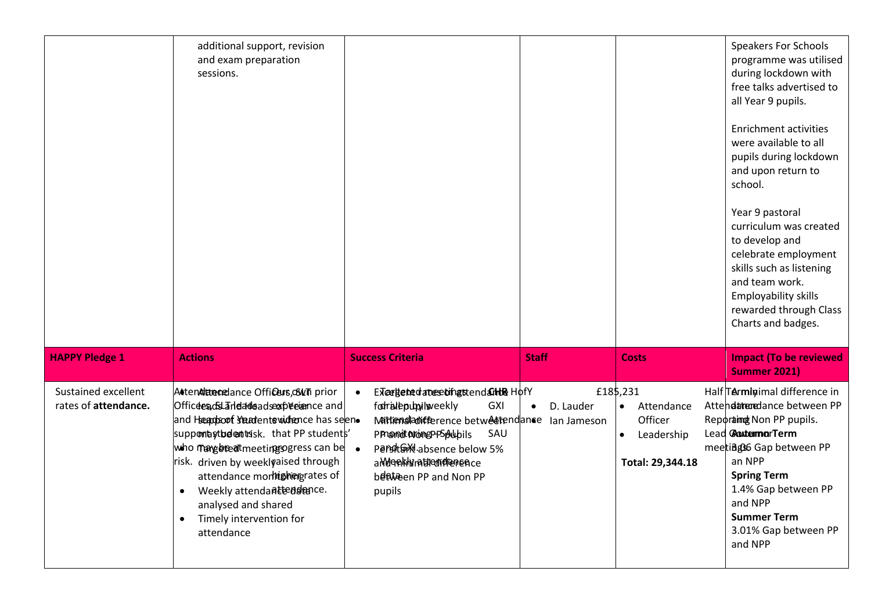|                                             | additional support, revision<br>and exam preparation<br>sessions.                                                                                                                                                                                                                                                                                                                |                                                                                                                                                                                                                                                                             |                        |                                                                                  | <b>Speakers For Schools</b><br>programme was utilised<br>during lockdown with<br>free talks advertised to<br>all Year 9 pupils.<br><b>Enrichment activities</b><br>were available to all<br>pupils during lockdown<br>and upon return to<br>school.<br>Year 9 pastoral<br>curriculum was created<br>to develop and<br>celebrate employment<br>skills such as listening<br>and team work.<br>Employability skills<br>rewarded through Class<br>Charts and badges. |
|---------------------------------------------|----------------------------------------------------------------------------------------------------------------------------------------------------------------------------------------------------------------------------------------------------------------------------------------------------------------------------------------------------------------------------------|-----------------------------------------------------------------------------------------------------------------------------------------------------------------------------------------------------------------------------------------------------------------------------|------------------------|----------------------------------------------------------------------------------|------------------------------------------------------------------------------------------------------------------------------------------------------------------------------------------------------------------------------------------------------------------------------------------------------------------------------------------------------------------------------------------------------------------------------------------------------------------|
| <b>HAPPY Pledge 1</b>                       | <b>Actions</b>                                                                                                                                                                                                                                                                                                                                                                   | <b>Success Criteria</b>                                                                                                                                                                                                                                                     | <b>Staff</b>           | <b>Costs</b>                                                                     | <b>Impact (To be reviewed</b><br><b>Summer 2021)</b>                                                                                                                                                                                                                                                                                                                                                                                                             |
| Sustained excellent<br>rates of attendance. | Attendiatendance Officers, OWTh prior<br>Officees osLandadeadsexpresence and<br>and Heapboof steatentswidtence has seen.<br>suppomastbelent risk. that PP students'<br>who may been the etimps gress can be<br>risk. driven by weeklyaised through<br>attendance morhishiergrates of<br>Weekly attendantendence.<br>analysed and shared<br>Timely intervention for<br>attendance | Excegeted attes tingstend at the Hofy<br>$\bullet$<br>fodralepublisveekly<br><b>GXI</b><br>Mattensladicference betweetendance lan Jameson<br>SAU<br>PPnomit Normep-PSpAubils<br>Persite M absence below 5%<br>a Modenkhymaticum diamence<br>between PP and Non PP<br>pupils | D. Lauder<br>$\bullet$ | £185,231<br>Attendance<br>Officer<br>Leadership<br>$\bullet$<br>Total: 29,344.18 | Half Terminimal difference in<br>Attendaturedance between PP<br>Reporting Non PP pupils.<br>Lead CoutermarTerm<br>meetiage6 Gap between PP<br>an NPP<br><b>Spring Term</b><br>1.4% Gap between PP<br>and NPP<br><b>Summer Term</b><br>3.01% Gap between PP<br>and NPP                                                                                                                                                                                            |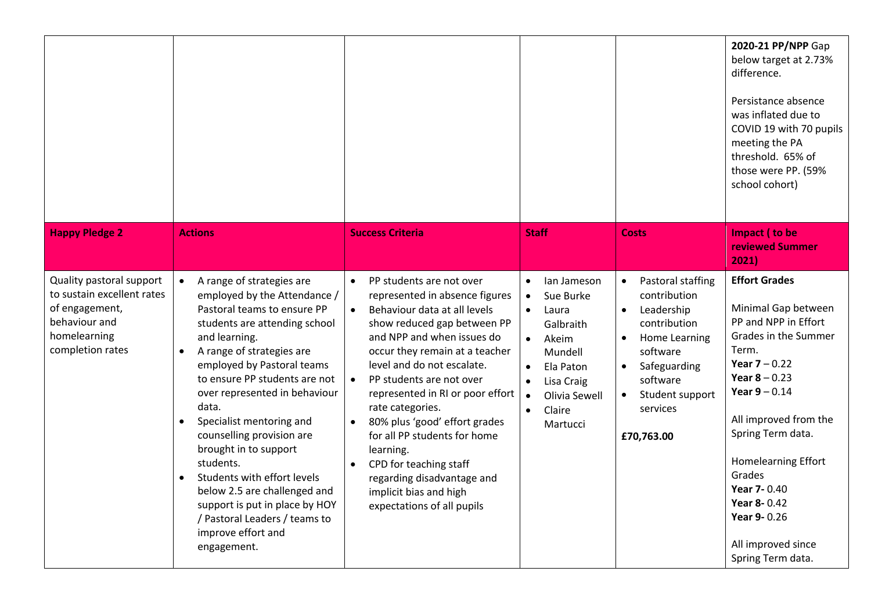|                                                                                                                               |                                                                                                                                                                                                                                                                                                                                                                                                                                                                                                                                                                                  |                                                                                                                                                                                                                                                                                                                                                                                                                                                                                                                                                  |                                                                                                                                                                                                                                              |                                                                                                                                                                                                                                        | 2020-21 PP/NPP Gap<br>below target at 2.73%<br>difference.<br>Persistance absence<br>was inflated due to<br>COVID 19 with 70 pupils<br>meeting the PA<br>threshold. 65% of<br>those were PP. (59%<br>school cohort)                                                                                                                  |
|-------------------------------------------------------------------------------------------------------------------------------|----------------------------------------------------------------------------------------------------------------------------------------------------------------------------------------------------------------------------------------------------------------------------------------------------------------------------------------------------------------------------------------------------------------------------------------------------------------------------------------------------------------------------------------------------------------------------------|--------------------------------------------------------------------------------------------------------------------------------------------------------------------------------------------------------------------------------------------------------------------------------------------------------------------------------------------------------------------------------------------------------------------------------------------------------------------------------------------------------------------------------------------------|----------------------------------------------------------------------------------------------------------------------------------------------------------------------------------------------------------------------------------------------|----------------------------------------------------------------------------------------------------------------------------------------------------------------------------------------------------------------------------------------|--------------------------------------------------------------------------------------------------------------------------------------------------------------------------------------------------------------------------------------------------------------------------------------------------------------------------------------|
| <b>Happy Pledge 2</b>                                                                                                         | <b>Actions</b>                                                                                                                                                                                                                                                                                                                                                                                                                                                                                                                                                                   | <b>Success Criteria</b>                                                                                                                                                                                                                                                                                                                                                                                                                                                                                                                          | <b>Staff</b>                                                                                                                                                                                                                                 | <b>Costs</b>                                                                                                                                                                                                                           | Impact (to be<br>reviewed Summer<br>2021)                                                                                                                                                                                                                                                                                            |
| Quality pastoral support<br>to sustain excellent rates<br>of engagement,<br>behaviour and<br>homelearning<br>completion rates | A range of strategies are<br>employed by the Attendance /<br>Pastoral teams to ensure PP<br>students are attending school<br>and learning.<br>A range of strategies are<br>employed by Pastoral teams<br>to ensure PP students are not<br>over represented in behaviour<br>data.<br>Specialist mentoring and<br>$\bullet$<br>counselling provision are<br>brought in to support<br>students.<br>Students with effort levels<br>$\bullet$<br>below 2.5 are challenged and<br>support is put in place by HOY<br>/ Pastoral Leaders / teams to<br>improve effort and<br>engagement. | PP students are not over<br>$\bullet$<br>represented in absence figures<br>Behaviour data at all levels<br>$\bullet$<br>show reduced gap between PP<br>and NPP and when issues do<br>occur they remain at a teacher<br>level and do not escalate.<br>PP students are not over<br>$\bullet$<br>represented in RI or poor effort<br>rate categories.<br>80% plus 'good' effort grades<br>for all PP students for home<br>learning.<br>CPD for teaching staff<br>regarding disadvantage and<br>implicit bias and high<br>expectations of all pupils | lan Jameson<br>$\bullet$<br>Sue Burke<br>$\bullet$<br>Laura<br>$\bullet$<br>Galbraith<br>Akeim<br>$\bullet$<br>Mundell<br>Ela Paton<br>$\bullet$<br>Lisa Craig<br>$\bullet$<br>Olivia Sewell<br>$\bullet$<br>Claire<br>$\bullet$<br>Martucci | Pastoral staffing<br>$\bullet$<br>contribution<br>Leadership<br>$\bullet$<br>contribution<br>Home Learning<br>$\bullet$<br>software<br>Safeguarding<br>$\bullet$<br>software<br>Student support<br>$\bullet$<br>services<br>£70,763.00 | <b>Effort Grades</b><br>Minimal Gap between<br>PP and NPP in Effort<br>Grades in the Summer<br>Term.<br>Year $7 - 0.22$<br>Year $8 - 0.23$<br>Year $9 - 0.14$<br>All improved from the<br>Spring Term data.<br>Homelearning Effort<br>Grades<br>Year 7-0.40<br>Year 8-0.42<br>Year 9-0.26<br>All improved since<br>Spring Term data. |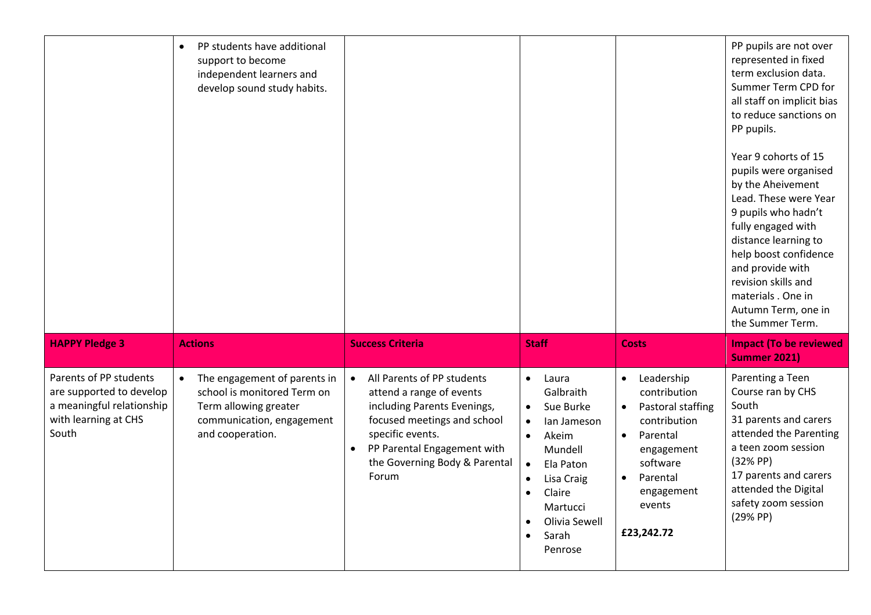|                                                                                                                  | PP students have additional<br>support to become<br>independent learners and<br>develop sound study habits.                           |                                                                                                                                                                                                                                |                                                                                                                                                                                                                                                     |                                                                                                                                                                                                             | PP pupils are not over<br>represented in fixed<br>term exclusion data.<br>Summer Term CPD for<br>all staff on implicit bias<br>to reduce sanctions on<br>PP pupils.<br>Year 9 cohorts of 15<br>pupils were organised<br>by the Aheivement<br>Lead. These were Year<br>9 pupils who hadn't<br>fully engaged with<br>distance learning to<br>help boost confidence<br>and provide with<br>revision skills and<br>materials. One in<br>Autumn Term, one in<br>the Summer Term. |
|------------------------------------------------------------------------------------------------------------------|---------------------------------------------------------------------------------------------------------------------------------------|--------------------------------------------------------------------------------------------------------------------------------------------------------------------------------------------------------------------------------|-----------------------------------------------------------------------------------------------------------------------------------------------------------------------------------------------------------------------------------------------------|-------------------------------------------------------------------------------------------------------------------------------------------------------------------------------------------------------------|-----------------------------------------------------------------------------------------------------------------------------------------------------------------------------------------------------------------------------------------------------------------------------------------------------------------------------------------------------------------------------------------------------------------------------------------------------------------------------|
| <b>HAPPY Pledge 3</b>                                                                                            | <b>Actions</b>                                                                                                                        | <b>Success Criteria</b>                                                                                                                                                                                                        | <b>Staff</b>                                                                                                                                                                                                                                        | <b>Costs</b>                                                                                                                                                                                                | <b>Impact (To be reviewed</b><br><b>Summer 2021)</b>                                                                                                                                                                                                                                                                                                                                                                                                                        |
| Parents of PP students<br>are supported to develop<br>a meaningful relationship<br>with learning at CHS<br>South | The engagement of parents in<br>school is monitored Term on<br>Term allowing greater<br>communication, engagement<br>and cooperation. | All Parents of PP students<br>$\bullet$<br>attend a range of events<br>including Parents Evenings,<br>focused meetings and school<br>specific events.<br>PP Parental Engagement with<br>the Governing Body & Parental<br>Forum | Laura<br>$\bullet$<br>Galbraith<br>Sue Burke<br>$\bullet$<br>lan Jameson<br>$\bullet$<br>Akeim<br>$\bullet$<br>Mundell<br>$\bullet$<br>Ela Paton<br>Lisa Craig<br>Claire<br>$\bullet$<br>Martucci<br>Olivia Sewell<br>Sarah<br>$\bullet$<br>Penrose | Leadership<br>$\bullet$<br>contribution<br>Pastoral staffing<br>$\bullet$<br>contribution<br>Parental<br>$\bullet$<br>engagement<br>software<br>Parental<br>$\bullet$<br>engagement<br>events<br>£23,242.72 | Parenting a Teen<br>Course ran by CHS<br>South<br>31 parents and carers<br>attended the Parenting<br>a teen zoom session<br>(32% PP)<br>17 parents and carers<br>attended the Digital<br>safety zoom session<br>(29% PP)                                                                                                                                                                                                                                                    |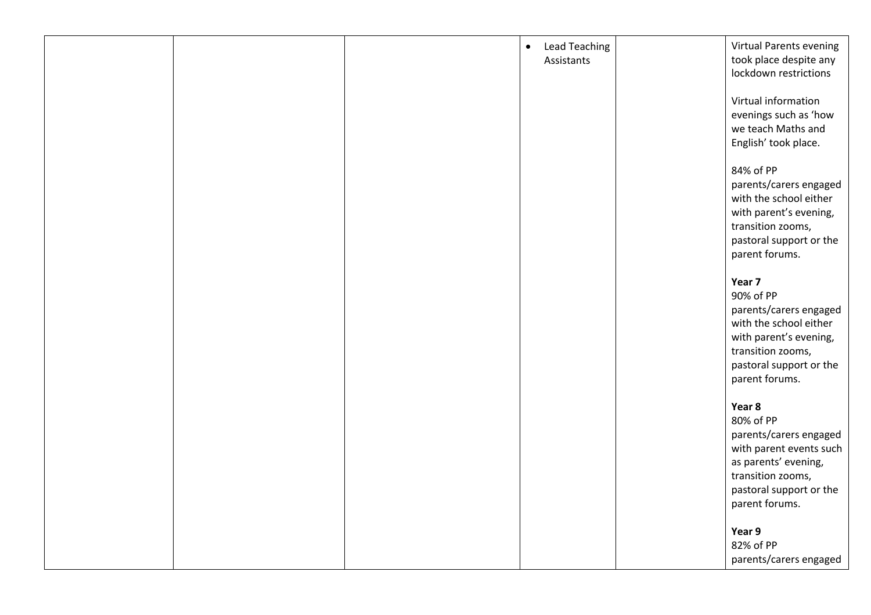|  | <b>Lead Teaching</b><br>$\bullet$ | <b>Virtual Parents evening</b> |
|--|-----------------------------------|--------------------------------|
|  | Assistants                        | took place despite any         |
|  |                                   | lockdown restrictions          |
|  |                                   |                                |
|  |                                   | Virtual information            |
|  |                                   | evenings such as 'how          |
|  |                                   | we teach Maths and             |
|  |                                   | English' took place.           |
|  |                                   |                                |
|  |                                   | 84% of PP                      |
|  |                                   | parents/carers engaged         |
|  |                                   | with the school either         |
|  |                                   | with parent's evening,         |
|  |                                   | transition zooms,              |
|  |                                   | pastoral support or the        |
|  |                                   | parent forums.                 |
|  |                                   |                                |
|  |                                   | Year 7                         |
|  |                                   | 90% of PP                      |
|  |                                   | parents/carers engaged         |
|  |                                   | with the school either         |
|  |                                   | with parent's evening,         |
|  |                                   | transition zooms,              |
|  |                                   | pastoral support or the        |
|  |                                   | parent forums.                 |
|  |                                   |                                |
|  |                                   | Year 8                         |
|  |                                   | 80% of PP                      |
|  |                                   | parents/carers engaged         |
|  |                                   | with parent events such        |
|  |                                   | as parents' evening,           |
|  |                                   | transition zooms,              |
|  |                                   | pastoral support or the        |
|  |                                   | parent forums.                 |
|  |                                   |                                |
|  |                                   | Year 9                         |
|  |                                   | 82% of PP                      |
|  |                                   | parents/carers engaged         |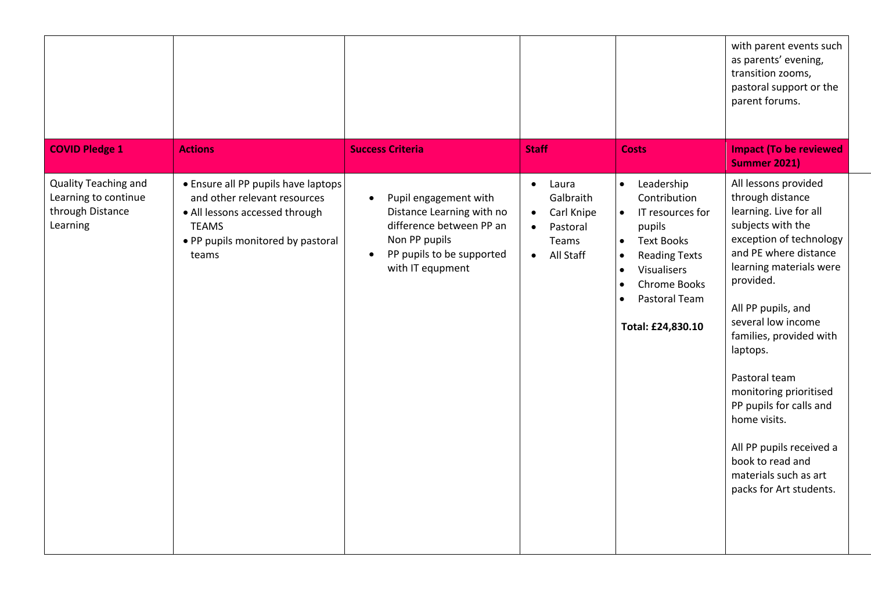|                                                                              |                                                                                                                                                                     |                                                                                                                                                                            |                                                                                                                        |                                                                                                                                                                                                                                                          | with parent events such<br>as parents' evening,<br>transition zooms,<br>pastoral support or the<br>parent forums.                                                                                                                                                                                                                                                                                                                                                |
|------------------------------------------------------------------------------|---------------------------------------------------------------------------------------------------------------------------------------------------------------------|----------------------------------------------------------------------------------------------------------------------------------------------------------------------------|------------------------------------------------------------------------------------------------------------------------|----------------------------------------------------------------------------------------------------------------------------------------------------------------------------------------------------------------------------------------------------------|------------------------------------------------------------------------------------------------------------------------------------------------------------------------------------------------------------------------------------------------------------------------------------------------------------------------------------------------------------------------------------------------------------------------------------------------------------------|
| <b>COVID Pledge 1</b>                                                        | <b>Actions</b>                                                                                                                                                      | <b>Success Criteria</b>                                                                                                                                                    | <b>Staff</b>                                                                                                           | <b>Costs</b>                                                                                                                                                                                                                                             | <b>Impact (To be reviewed</b><br><b>Summer 2021)</b>                                                                                                                                                                                                                                                                                                                                                                                                             |
| Quality Teaching and<br>Learning to continue<br>through Distance<br>Learning | • Ensure all PP pupils have laptops<br>and other relevant resources<br>• All lessons accessed through<br><b>TEAMS</b><br>• PP pupils monitored by pastoral<br>teams | Pupil engagement with<br>$\bullet$<br>Distance Learning with no<br>difference between PP an<br>Non PP pupils<br>PP pupils to be supported<br>$\bullet$<br>with IT equpment | Laura<br>$\bullet$<br>Galbraith<br>Carl Knipe<br>$\bullet$<br>Pastoral<br>$\bullet$<br>Teams<br>All Staff<br>$\bullet$ | Leadership<br>$\bullet$<br>Contribution<br>IT resources for<br>$\bullet$<br>pupils<br><b>Text Books</b><br>$\bullet$<br><b>Reading Texts</b><br>$\bullet$<br>Visualisers<br>$\bullet$<br>Chrome Books<br>$\bullet$<br>Pastoral Team<br>Total: £24,830.10 | All lessons provided<br>through distance<br>learning. Live for all<br>subjects with the<br>exception of technology<br>and PE where distance<br>learning materials were<br>provided.<br>All PP pupils, and<br>several low income<br>families, provided with<br>laptops.<br>Pastoral team<br>monitoring prioritised<br>PP pupils for calls and<br>home visits.<br>All PP pupils received a<br>book to read and<br>materials such as art<br>packs for Art students. |